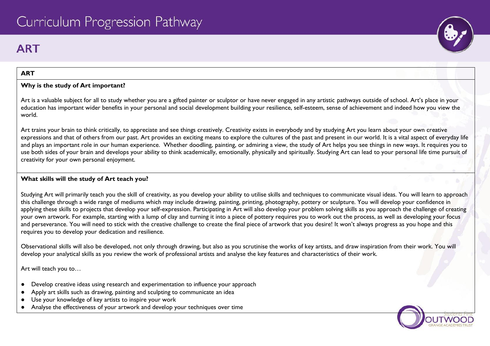# **ART**

# **ART**

# **Why is the study of Art important?**

Art is a valuable subject for all to study whether you are a gifted painter or sculptor or have never engaged in any artistic pathways outside of school. Art's place in your education has important wider benefits in your personal and social development building your resilience, self-esteem, sense of achievement and indeed how you view the world.

Art trains your brain to think critically, to appreciate and see things creatively. Creativity exists in everybody and by studying Art you learn about your own creative expressions and that of others from our past. Art provides an exciting means to explore the cultures of the past and present in our world. It is a vital aspect of everyday life and plays an important role in our human experience. Whether doodling, painting, or admiring a view, the study of Art helps you see things in new ways. It requires you to use both sides of your brain and develops your ability to think academically, emotionally, physically and spiritually. Studying Art can lead to your personal life time pursuit of creativity for your own personal enjoyment.

## **What skills will the study of Art teach you?**

Studying Art will primarily teach you the skill of creativity, as you develop your ability to utilise skills and techniques to communicate visual ideas. You will learn to approach this challenge through a wide range of mediums which may include drawing, painting, printing, photography, pottery or sculpture. You will develop your confidence in applying these skills to projects that develop your self-expression. Participating in Art will also develop your problem solving skills as you approach the challenge of creating your own artwork. For example, starting with a lump of clay and turning it into a piece of pottery requires you to work out the process, as well as developing your focus and perseverance. You will need to stick with the creative challenge to create the final piece of artwork that you desire! It won't always progress as you hope and this requires you to develop your dedication and resilience.

Observational skills will also be developed, not only through drawing, but also as you scrutinise the works of key artists, and draw inspiration from their work. You will develop your analytical skills as you review the work of professional artists and analyse the key features and characteristics of their work.

Art will teach you to…

- Develop creative ideas using research and experimentation to influence your approach
- Apply art skills such as drawing, painting and sculpting to communicate an idea
- Use your knowledge of key artists to inspire your work
- Analyse the effectiveness of your artwork and develop your techniques over time



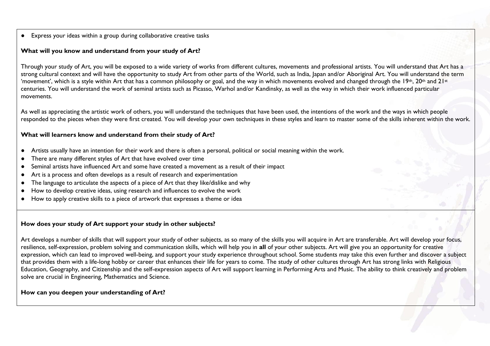● Express your ideas within a group during collaborative creative tasks

#### **What will you know and understand from your study of Art?**

Through your study of Art, you will be exposed to a wide variety of works from different cultures, movements and professional artists. You will understand that Art has a strong cultural context and will have the opportunity to study Art from other parts of the World, such as India, Japan and/or Aboriginal Art. You will understand the term 'movement', which is a style within Art that has a common philosophy or goal, and the way in which movements evolved and changed through the 19<sup>th</sup>, 20<sup>th</sup> and 21<sup>st</sup> centuries. You will understand the work of seminal artists such as Picasso, Warhol and/or Kandinsky, as well as the way in which their work influenced particular movements.

As well as appreciating the artistic work of others, you will understand the techniques that have been used, the intentions of the work and the ways in which people responded to the pieces when they were first created. You will develop your own techniques in these styles and learn to master some of the skills inherent within the work.

#### **What will learners know and understand from their study of Art?**

- Artists usually have an intention for their work and there is often a personal, political or social meaning within the work.
- There are many different styles of Art that have evolved over time
- Seminal artists have influenced Art and some have created a movement as a result of their impact
- Art is a process and often develops as a result of research and experimentation
- The language to articulate the aspects of a piece of Art that they like/dislike and why
- How to develop creative ideas, using research and influences to evolve the work
- How to apply creative skills to a piece of artwork that expresses a theme or idea

#### **How does your study of Art support your study in other subjects?**

Art develops a number of skills that will support your study of other subjects, as so many of the skills you will acquire in Art are transferable. Art will develop your focus, resilience, self-expression, problem solving and communication skills, which will help you in **all** of your other subjects. Art will give you an opportunity for creative expression, which can lead to improved well-being, and support your study experience throughout school. Some students may take this even further and discover a subject that provides them with a life-long hobby or career that enhances their life for years to come. The study of other cultures through Art has strong links with Religious Education, Geography, and Citizenship and the self-expression aspects of Art will support learning in Performing Arts and Music. The ability to think creatively and problem solve are crucial in Engineering, Mathematics and Science.

#### **How can you deepen your understanding of Art?**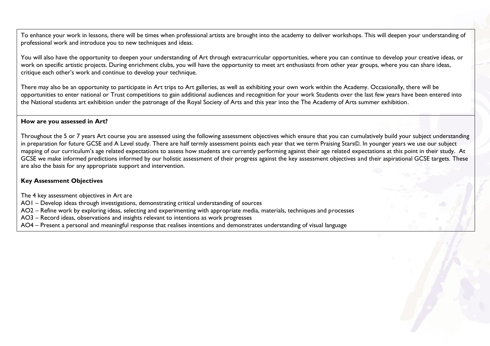To enhance your work in lessons, there will be times when professional artists are brought into the academy to deliver workshops. This will deepen your understanding of professional work and introduce you to new techniques and ideas.

You will also have the opportunity to deepen your understanding of Art through extracurricular opportunities, where you can continue to develop your creative ideas, or work on specific artistic projects. During enrichment clubs, you will have the opportunity to meet art enthusiasts from other year groups, where you can share ideas, critique each other's work and continue to develop your technique.

There may also be an opportunity to participate in Art trips to Art galleries, as well as exhibiting your own work within the Academy. Occasionally, there will be opportunities to enter national or Trust competitions to gain additional audiences and recognition for your work Students over the last few years have been entered into the National students art exhibition under the patronage of the Royal Society of Arts and this year into the The Academy of Arts summer exhibition.

#### **How are you assessed in Art?**

Throughout the 5 or 7 years Art course you are assessed using the following assessment objectives which ensure that you can cumulatively build your subject understanding in preparation for future GCSE and A Level study. There are half termly assessment points each year that we term Praising Stars©. In younger years we use our subject mapping of our curriculum's age related expectations to assess how students are currently performing against their age related expectations at this point in their study. At GCSE we make informed predictions informed by our holistic assessment of their progress against the key assessment objectives and their aspirational GCSE targets. These are also the basis for any appropriate support and intervention.

#### **Key Assessment Objectives**

The 4 key assessment objectives in Art are

- AO1 Develop ideas through investigations, demonstrating critical understanding of sources
- AO2 Refine work by exploring ideas, selecting and experimenting with appropriate media, materials, techniques and processes
- AO3 Record ideas, observations and insights relevant to intentions as work progresses
- AO4 Present a personal and meaningful response that realises intentions and demonstrates understanding of visual language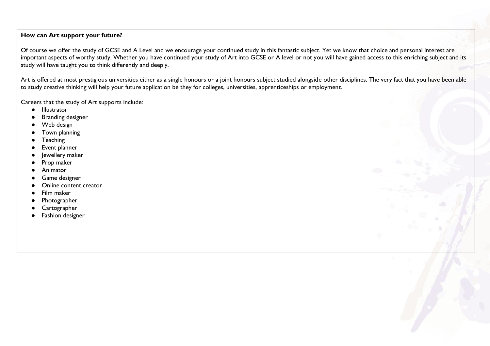# **How can Art support your future?**

Of course we offer the study of GCSE and A Level and we encourage your continued study in this fantastic subject. Yet we know that choice and personal interest are important aspects of worthy study. Whether you have continued your study of Art into GCSE or A level or not you will have gained access to this enriching subject and its study will have taught you to think differently and deeply.

Art is offered at most prestigious universities either as a single honours or a joint honours subject studied alongside other disciplines. The very fact that you have been able to study creative thinking will help your future application be they for colleges, universities, apprenticeships or employment.

Careers that the study of Art supports include:

- Illustrator
- **Branding designer**
- Web design
- Town planning
- **Teaching**
- Event planner
- Jewellery maker
- Prop maker
- Animator
- Game designer
- Online content creator
- Film maker
- Photographer
- Cartographer
- Fashion designer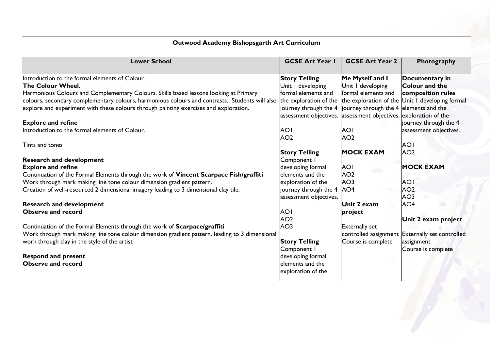|                                                                                                | <b>GCSE Art Year I</b>                                                   | <b>GCSE Art Year 2</b> | Photography                                     |
|------------------------------------------------------------------------------------------------|--------------------------------------------------------------------------|------------------------|-------------------------------------------------|
| Introduction to the formal elements of Colour.                                                 | <b>Story Telling</b>                                                     | Me Myself and I        | Documentary in                                  |
| <b>The Colour Wheel.</b>                                                                       | Unit I developing                                                        | Unit I developing      | <b>Colour and the</b>                           |
| Harmonious Colours and Complementary Colours. Skills based lessons looking at Primary          | formal elements and                                                      | formal elements and    | composition rules                               |
| colours, secondary complementary colours, harmonious colours and contrasts. Students will also | the exploration of the                                                   |                        | the exploration of the Unit I developing formal |
| explore and experiment with these colours through painting exercises and exploration.          | $ $ journey through the 4 $ $ journey through the 4 $ $ elements and the |                        |                                                 |
|                                                                                                | assessment objectives. assessment objectives. exploration of the         |                        |                                                 |
| <b>Explore and refine</b>                                                                      |                                                                          |                        | journey through the 4                           |
| Introduction to the formal elements of Colour.                                                 | <b>AOI</b>                                                               | <b>AOI</b>             | assessment objectives.                          |
|                                                                                                | AO <sub>2</sub>                                                          | AO <sub>2</sub>        |                                                 |
| Tints and tones                                                                                |                                                                          |                        | <b>AOI</b>                                      |
|                                                                                                | <b>Story Telling</b>                                                     | <b>MOCK EXAM</b>       | AO <sub>2</sub>                                 |
| <b>Research and development</b>                                                                | Component I                                                              |                        |                                                 |
| <b>Explore and refine</b>                                                                      | developing formal                                                        | <b>AOI</b>             | <b>MOCK EXAM</b>                                |
| Continuation of the Formal Elements through the work of Vincent Scarpace Fish/graffiti         | elements and the                                                         | AO <sub>2</sub>        |                                                 |
| Work through mark making line tone colour dimension gradient pattern.                          | exploration of the                                                       | AO <sub>3</sub>        | <b>AOI</b>                                      |
| Creation of well-resourced 2 dimensional imagery leading to 3 dimensional clay tile.           | journey through the 4 AO4                                                |                        | AO <sub>2</sub>                                 |
|                                                                                                | assessment objectives.                                                   |                        | AO <sub>3</sub>                                 |
| <b>Research and development</b>                                                                |                                                                          | Unit 2 exam            | AO <sub>4</sub>                                 |
| <b>Observe and record</b>                                                                      | <b>AOI</b>                                                               | project                |                                                 |
|                                                                                                | AO <sub>2</sub>                                                          |                        | Unit 2 exam project                             |
| Continuation of the Formal Elements through the work of Scarpace/graffiti                      | AO <sub>3</sub>                                                          | <b>Externally set</b>  |                                                 |
| Work through mark making line tone colour dimension gradient pattern. leading to 3 dimensional |                                                                          |                        | controlled assignment Externally set controlled |
| work through clay in the style of the artist                                                   | <b>Story Telling</b>                                                     | Course is complete     | assignment                                      |
|                                                                                                | Component I                                                              |                        | Course is complete                              |
| <b>Respond and present</b>                                                                     | developing formal                                                        |                        |                                                 |
| <b>Observe and record</b>                                                                      | elements and the                                                         |                        |                                                 |
|                                                                                                | exploration of the                                                       |                        |                                                 |

# **Outwood Academy Bishopsgarth Art Curriculum**